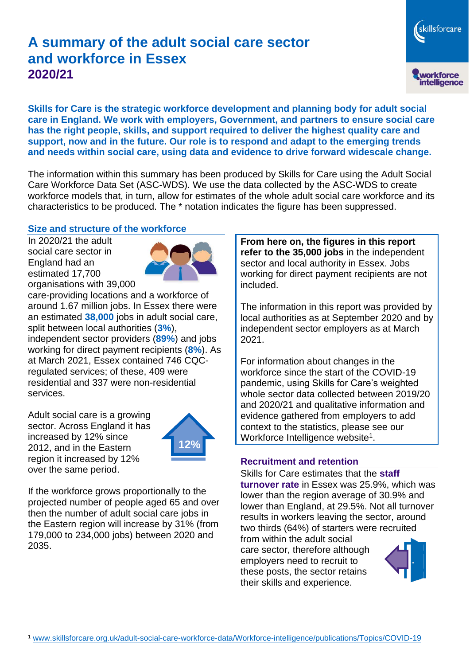# **A summary of the adult social care sector and workforce in Essex 2020/21**

skillsforcare workforce<br>intelligence

**Skills for Care is the strategic workforce development and planning body for adult social care in England. We work with employers, Government, and partners to ensure social care has the right people, skills, and support required to deliver the highest quality care and support, now and in the future. Our role is to respond and adapt to the emerging trends and needs within social care, using data and evidence to drive forward widescale change.**

The information within this summary has been produced by Skills for Care using the Adult Social Care Workforce Data Set (ASC-WDS). We use the data collected by the ASC-WDS to create workforce models that, in turn, allow for estimates of the whole adult social care workforce and its characteristics to be produced. The \* notation indicates the figure has been suppressed.

#### **Size and structure of the workforce**

In 2020/21 the adult social care sector in England had an estimated 17,700 organisations with 39,000



care-providing locations and a workforce of around 1.67 million jobs. In Essex there were an estimated **38,000** jobs in adult social care, split between local authorities (**3%**), independent sector providers (**89%**) and jobs working for direct payment recipients (**8%**). As at March 2021, Essex contained 746 CQCregulated services; of these, 409 were residential and 337 were non-residential services.

Adult social care is a growing sector. Across England it has increased by 12% since 2012, and in the Eastern region it increased by 12% over the same period.



If the workforce grows proportionally to the projected number of people aged 65 and over then the number of adult social care jobs in the Eastern region will increase by 31% (from 179,000 to 234,000 jobs) between 2020 and 2035.

**From here on, the figures in this report refer to the 35,000 jobs** in the independent sector and local authority in Essex. Jobs working for direct payment recipients are not included.

The information in this report was provided by local authorities as at September 2020 and by independent sector employers as at March 2021.

For information about changes in the workforce since the start of the COVID-19 pandemic, using Skills for Care's weighted whole sector data collected between 2019/20 and 2020/21 and qualitative information and evidence gathered from employers to add context to the statistics, please see our Workforce Intelligence website<sup>1</sup>.

#### **Recruitment and retention**

Skills for Care estimates that the **staff turnover rate** in Essex was 25.9%, which was lower than the region average of 30.9% and lower than England, at 29.5%. Not all turnover results in workers leaving the sector, around two thirds (64%) of starters were recruited from within the adult social

care sector, therefore although employers need to recruit to these posts, the sector retains their skills and experience.

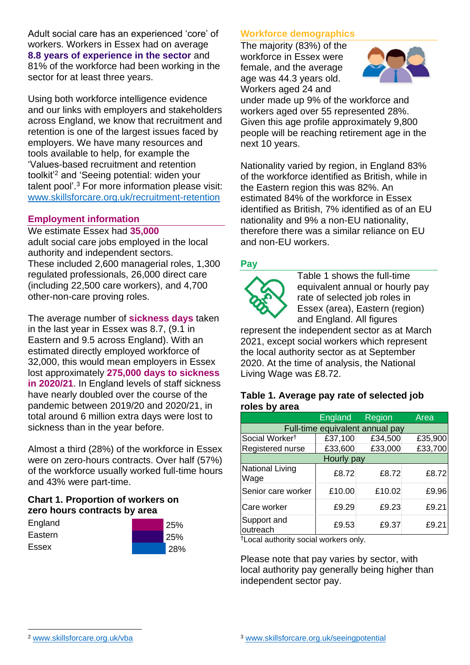Adult social care has an experienced 'core' of workers. Workers in Essex had on average **8.8 years of experience in the sector** and 81% of the workforce had been working in the sector for at least three years.

Using both workforce intelligence evidence and our links with employers and stakeholders across England, we know that recruitment and retention is one of the largest issues faced by employers. We have many resources and tools available to help, for example the 'Values-based recruitment and retention toolkit'<sup>2</sup> and 'Seeing potential: widen your talent pool'. <sup>3</sup> For more information please visit: [www.skillsforcare.org.uk/recruitment-retention](http://www.skillsforcare.org.uk/recruitment-retention)

#### **Employment information**

We estimate Essex had **35,000** adult social care jobs employed in the local authority and independent sectors. These included 2,600 managerial roles, 1,300 regulated professionals, 26,000 direct care (including 22,500 care workers), and 4,700 other-non-care proving roles.

The average number of **sickness days** taken in the last year in Essex was 8.7, (9.1 in Eastern and 9.5 across England). With an estimated directly employed workforce of 32,000, this would mean employers in Essex lost approximately **275,000 days to sickness in 2020/21**. In England levels of staff sickness have nearly doubled over the course of the pandemic between 2019/20 and 2020/21, in total around 6 million extra days were lost to sickness than in the year before.

Almost a third (28%) of the workforce in Essex were on zero-hours contracts. Over half (57%) of the workforce usually worked full-time hours and 43% were part-time.

### **Chart 1. Proportion of workers on zero hours contracts by area**

| England | 25%        |
|---------|------------|
| Eastern | <b>25%</b> |
| Essex   | 28%        |

### **Workforce demographics**

The majority (83%) of the workforce in Essex were female, and the average age was 44.3 years old. Workers aged 24 and



under made up 9% of the workforce and workers aged over 55 represented 28%. Given this age profile approximately 9,800 people will be reaching retirement age in the next 10 years.

Nationality varied by region, in England 83% of the workforce identified as British, while in the Eastern region this was 82%. An estimated 84% of the workforce in Essex identified as British, 7% identified as of an EU nationality and 9% a non-EU nationality, therefore there was a similar reliance on EU and non-EU workers.

### **Pay**



Table 1 shows the full-time equivalent annual or hourly pay rate of selected job roles in Essex (area), Eastern (region) and England. All figures

represent the independent sector as at March 2021, except social workers which represent the local authority sector as at September 2020. At the time of analysis, the National Living Wage was £8.72.

#### **Table 1. Average pay rate of selected job roles by area**

|                                 | England | Region  | Area    |
|---------------------------------|---------|---------|---------|
| Full-time equivalent annual pay |         |         |         |
| Social Worker <sup>t</sup>      | £37,100 | £34,500 | £35,900 |
| Registered nurse                | £33,600 | £33,000 | £33,700 |
| Hourly pay                      |         |         |         |
| National Living<br>Wage         | £8.72   | £8.72   | £8.72   |
| Senior care worker              | £10.00  | £10.02  | £9.96   |
| Care worker                     | £9.29   | £9.23   | £9.21   |
| Support and<br>outreach         | £9.53   | £9.37   | £9.21   |

†Local authority social workers only.

Please note that pay varies by sector, with local authority pay generally being higher than independent sector pay.

[www.skillsforcare.org.uk/vba](http://www.skillsforcare.org.uk/vba)